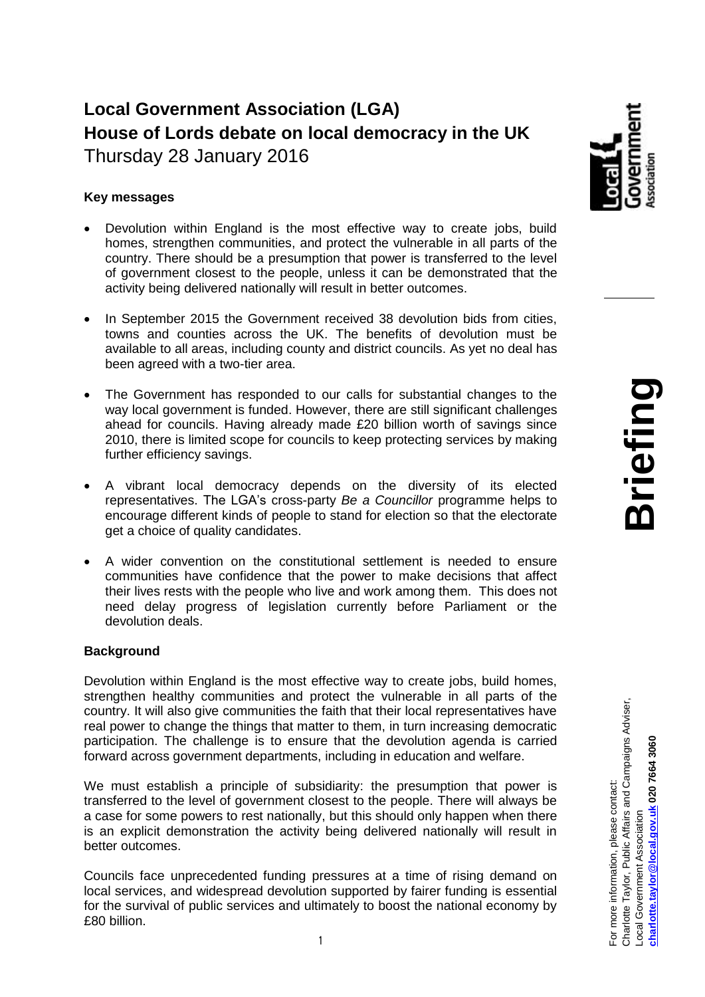# **Local Government Association (LGA) House of Lords debate on local democracy in the UK** Thursday 28 January 2016

## **Key messages**

- Devolution within England is the most effective way to create jobs, build homes, strengthen communities, and protect the vulnerable in all parts of the country. There should be a presumption that power is transferred to the level of government closest to the people, unless it can be demonstrated that the activity being delivered nationally will result in better outcomes.
- In September 2015 the Government received 38 devolution bids from cities, towns and counties across the UK. The benefits of devolution must be available to all areas, including county and district councils. As yet no deal has been agreed with a two-tier area.
- The Government has responded to our calls for substantial changes to the way local government is funded. However, there are still significant challenges ahead for councils. Having already made £20 billion worth of savings since 2010, there is limited scope for councils to keep protecting services by making further efficiency savings.
- A vibrant local democracy depends on the diversity of its elected representatives. The LGA's cross-party *Be a Councillor* programme helps to encourage different kinds of people to stand for election so that the electorate get a choice of quality candidates.
- A wider convention on the constitutional settlement is needed to ensure communities have confidence that the power to make decisions that affect their lives rests with the people who live and work among them. This does not need delay progress of legislation currently before Parliament or the devolution deals.

## **Background**

Devolution within England is the most effective way to create jobs, build homes, strengthen healthy communities and protect the vulnerable in all parts of the country. It will also give communities the faith that their local representatives have real power to change the things that matter to them, in turn increasing democratic participation. The challenge is to ensure that the devolution agenda is carried forward across government departments, including in education and welfare.

We must establish a principle of subsidiarity: the presumption that power is transferred to the level of government closest to the people. There will always be a case for some powers to rest nationally, but this should only happen when there is an explicit demonstration the activity being delivered nationally will result in better outcomes.

Councils face unprecedented funding pressures at a time of rising demand on local services, and widespread devolution supported by fairer funding is essential for the survival of public services and ultimately to boost the national economy by £80 billion.



For more information, please contact:

For more information, please contact:

Charlotte Taylor, Public Affairs and Campaigns Adviser,

Charlotte Taylor, Public Affairs and Campaigns Adviser,

Local Government Association

Local Government Association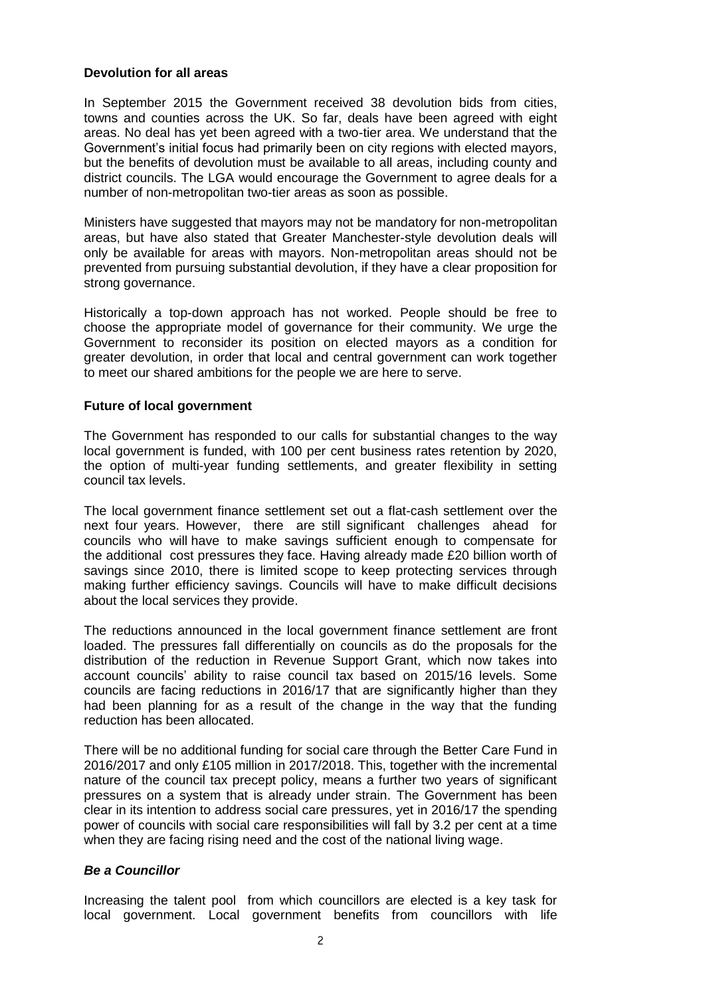#### **Devolution for all areas**

In September 2015 the Government received 38 devolution bids from cities, towns and counties across the UK. So far, deals have been agreed with eight areas. No deal has yet been agreed with a two-tier area. We understand that the Government's initial focus had primarily been on city regions with elected mayors, but the benefits of devolution must be available to all areas, including county and district councils. The LGA would encourage the Government to agree deals for a number of non-metropolitan two-tier areas as soon as possible.

Ministers have suggested that mayors may not be mandatory for non-metropolitan areas, but have also stated that Greater Manchester-style devolution deals will only be available for areas with mayors. Non-metropolitan areas should not be prevented from pursuing substantial devolution, if they have a clear proposition for strong governance.

Historically a top-down approach has not worked. People should be free to choose the appropriate model of governance for their community. We urge the Government to reconsider its position on elected mayors as a condition for greater devolution, in order that local and central government can work together to meet our shared ambitions for the people we are here to serve.

#### **Future of local government**

The Government has responded to our calls for substantial changes to the way local government is funded, with 100 per cent business rates retention by 2020, the option of multi-year funding settlements, and greater flexibility in setting council tax levels.

The local government finance settlement set out a flat-cash settlement over the next four years. However, there are still significant challenges ahead for councils who will have to make savings sufficient enough to compensate for the additional cost pressures they face. Having already made £20 billion worth of savings since 2010, there is limited scope to keep protecting services through making further efficiency savings. Councils will have to make difficult decisions about the local services they provide.

The reductions announced in the local government finance settlement are front loaded. The pressures fall differentially on councils as do the proposals for the distribution of the reduction in Revenue Support Grant, which now takes into account councils' ability to raise council tax based on 2015/16 levels. Some councils are facing reductions in 2016/17 that are significantly higher than they had been planning for as a result of the change in the way that the funding reduction has been allocated.

There will be no additional funding for social care through the Better Care Fund in 2016/2017 and only £105 million in 2017/2018. This, together with the incremental nature of the council tax precept policy, means a further two years of significant pressures on a system that is already under strain. The Government has been clear in its intention to address social care pressures, yet in 2016/17 the spending power of councils with social care responsibilities will fall by 3.2 per cent at a time when they are facing rising need and the cost of the national living wage.

## *Be a Councillor*

Increasing the talent pool from which councillors are elected is a key task for local government. Local government benefits from councillors with life